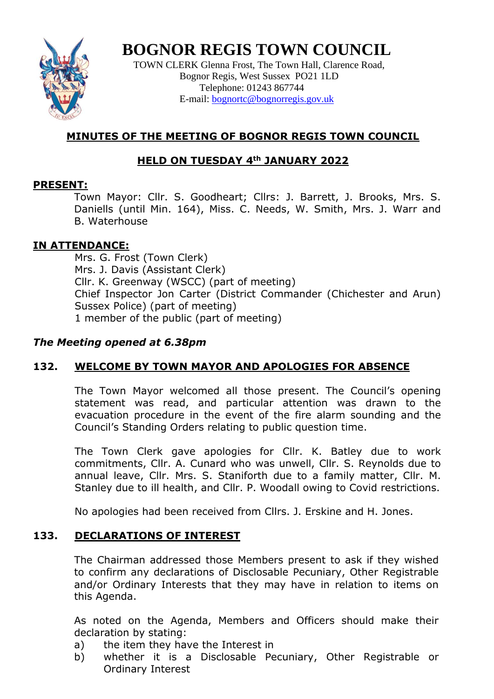

# **BOGNOR REGIS TOWN COUNCIL**

TOWN CLERK Glenna Frost, The Town Hall, Clarence Road, Bognor Regis, West Sussex PO21 1LD Telephone: 01243 867744 E-mail: **bognortc@bognorregis.gov.uk** 

# **MINUTES OF THE MEETING OF BOGNOR REGIS TOWN COUNCIL**

# **HELD ON TUESDAY 4th JANUARY 2022**

# **PRESENT:**

Town Mayor: Cllr. S. Goodheart; Cllrs: J. Barrett, J. Brooks, Mrs. S. Daniells (until Min. 164), Miss. C. Needs, W. Smith, Mrs. J. Warr and B. Waterhouse

# **IN ATTENDANCE:**

Mrs. G. Frost (Town Clerk) Mrs. J. Davis (Assistant Clerk) Cllr. K. Greenway (WSCC) (part of meeting) Chief Inspector Jon Carter (District Commander (Chichester and Arun) Sussex Police) (part of meeting) 1 member of the public (part of meeting)

# *The Meeting opened at 6.38pm*

# **132. WELCOME BY TOWN MAYOR AND APOLOGIES FOR ABSENCE**

The Town Mayor welcomed all those present. The Council's opening statement was read, and particular attention was drawn to the evacuation procedure in the event of the fire alarm sounding and the Council's Standing Orders relating to public question time.

The Town Clerk gave apologies for Cllr. K. Batley due to work commitments, Cllr. A. Cunard who was unwell, Cllr. S. Reynolds due to annual leave, Cllr. Mrs. S. Staniforth due to a family matter, Cllr. M. Stanley due to ill health, and Cllr. P. Woodall owing to Covid restrictions.

No apologies had been received from Cllrs. J. Erskine and H. Jones.

# **133. DECLARATIONS OF INTEREST**

The Chairman addressed those Members present to ask if they wished to confirm any declarations of Disclosable Pecuniary, Other Registrable and/or Ordinary Interests that they may have in relation to items on this Agenda.

As noted on the Agenda, Members and Officers should make their declaration by stating:

- a) the item they have the Interest in
- b) whether it is a Disclosable Pecuniary, Other Registrable or Ordinary Interest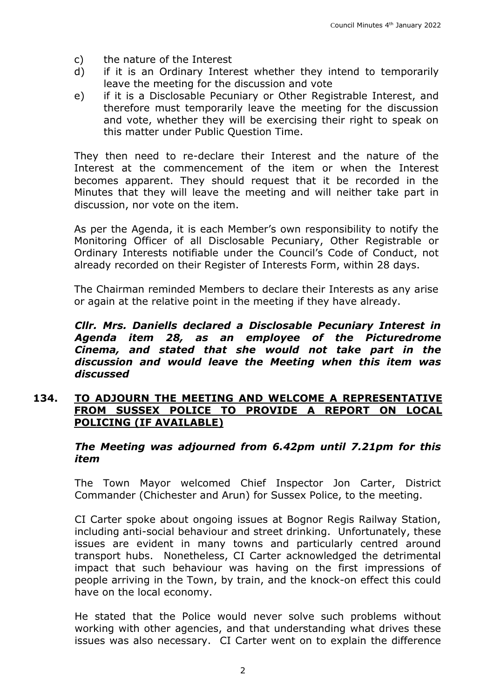- c) the nature of the Interest
- d) if it is an Ordinary Interest whether they intend to temporarily leave the meeting for the discussion and vote
- e) if it is a Disclosable Pecuniary or Other Registrable Interest, and therefore must temporarily leave the meeting for the discussion and vote, whether they will be exercising their right to speak on this matter under Public Question Time.

They then need to re-declare their Interest and the nature of the Interest at the commencement of the item or when the Interest becomes apparent. They should request that it be recorded in the Minutes that they will leave the meeting and will neither take part in discussion, nor vote on the item.

As per the Agenda, it is each Member's own responsibility to notify the Monitoring Officer of all Disclosable Pecuniary, Other Registrable or Ordinary Interests notifiable under the Council's Code of Conduct, not already recorded on their Register of Interests Form, within 28 days.

The Chairman reminded Members to declare their Interests as any arise or again at the relative point in the meeting if they have already.

*Cllr. Mrs. Daniells declared a Disclosable Pecuniary Interest in Agenda item 28, as an employee of the Picturedrome Cinema, and stated that she would not take part in the discussion and would leave the Meeting when this item was discussed*

#### **134. TO ADJOURN THE MEETING AND WELCOME A REPRESENTATIVE FROM SUSSEX POLICE TO PROVIDE A REPORT ON LOCAL POLICING (IF AVAILABLE)**

#### *The Meeting was adjourned from 6.42pm until 7.21pm for this item*

The Town Mayor welcomed Chief Inspector Jon Carter, District Commander (Chichester and Arun) for Sussex Police, to the meeting.

CI Carter spoke about ongoing issues at Bognor Regis Railway Station, including anti-social behaviour and street drinking. Unfortunately, these issues are evident in many towns and particularly centred around transport hubs. Nonetheless, CI Carter acknowledged the detrimental impact that such behaviour was having on the first impressions of people arriving in the Town, by train, and the knock-on effect this could have on the local economy.

He stated that the Police would never solve such problems without working with other agencies, and that understanding what drives these issues was also necessary. CI Carter went on to explain the difference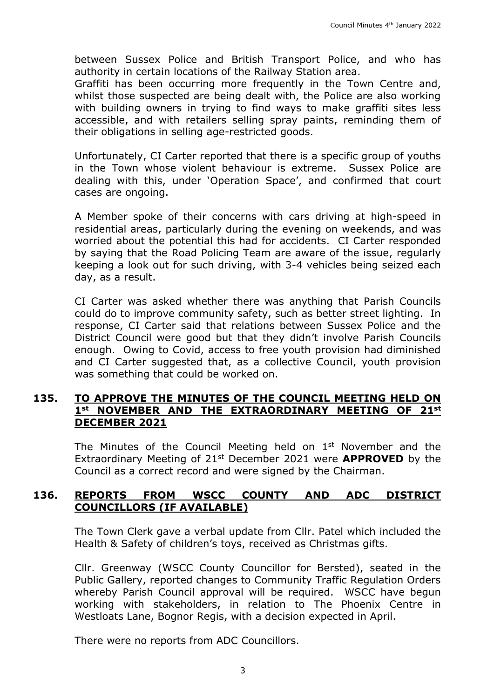between Sussex Police and British Transport Police, and who has authority in certain locations of the Railway Station area.

Graffiti has been occurring more frequently in the Town Centre and, whilst those suspected are being dealt with, the Police are also working with building owners in trying to find ways to make graffiti sites less accessible, and with retailers selling spray paints, reminding them of their obligations in selling age-restricted goods.

Unfortunately, CI Carter reported that there is a specific group of youths in the Town whose violent behaviour is extreme. Sussex Police are dealing with this, under 'Operation Space', and confirmed that court cases are ongoing.

A Member spoke of their concerns with cars driving at high-speed in residential areas, particularly during the evening on weekends, and was worried about the potential this had for accidents. CI Carter responded by saying that the Road Policing Team are aware of the issue, regularly keeping a look out for such driving, with 3-4 vehicles being seized each day, as a result.

CI Carter was asked whether there was anything that Parish Councils could do to improve community safety, such as better street lighting. In response, CI Carter said that relations between Sussex Police and the District Council were good but that they didn't involve Parish Councils enough. Owing to Covid, access to free youth provision had diminished and CI Carter suggested that, as a collective Council, youth provision was something that could be worked on.

# **135. TO APPROVE THE MINUTES OF THE COUNCIL MEETING HELD ON 1st NOVEMBER AND THE EXTRAORDINARY MEETING OF 21st DECEMBER 2021**

The Minutes of the Council Meeting held on  $1<sup>st</sup>$  November and the Extraordinary Meeting of 21st December 2021 were **APPROVED** by the Council as a correct record and were signed by the Chairman.

# **136. REPORTS FROM WSCC COUNTY AND ADC DISTRICT COUNCILLORS (IF AVAILABLE)**

The Town Clerk gave a verbal update from Cllr. Patel which included the Health & Safety of children's toys, received as Christmas gifts.

Cllr. Greenway (WSCC County Councillor for Bersted), seated in the Public Gallery, reported changes to Community Traffic Regulation Orders whereby Parish Council approval will be required. WSCC have begun working with stakeholders, in relation to The Phoenix Centre in Westloats Lane, Bognor Regis, with a decision expected in April.

There were no reports from ADC Councillors.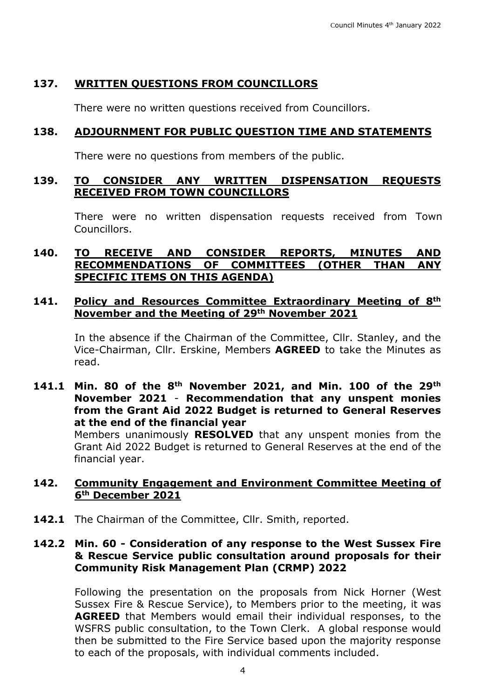# **137. WRITTEN QUESTIONS FROM COUNCILLORS**

There were no written questions received from Councillors.

# **138. ADJOURNMENT FOR PUBLIC QUESTION TIME AND STATEMENTS**

There were no questions from members of the public.

## **139. TO CONSIDER ANY WRITTEN DISPENSATION REQUESTS RECEIVED FROM TOWN COUNCILLORS**

There were no written dispensation requests received from Town Councillors.

# **140. TO RECEIVE AND CONSIDER REPORTS, MINUTES AND RECOMMENDATIONS OF COMMITTEES (OTHER THAN ANY SPECIFIC ITEMS ON THIS AGENDA)**

# **141. Policy and Resources Committee Extraordinary Meeting of 8th November and the Meeting of 29th November 2021**

In the absence if the Chairman of the Committee, Cllr. Stanley, and the Vice-Chairman, Cllr. Erskine, Members **AGREED** to take the Minutes as read.

## **141.1 Min. 80 of the 8th November 2021, and Min. 100 of the 29th November 2021** - **Recommendation that any unspent monies from the Grant Aid 2022 Budget is returned to General Reserves at the end of the financial year**

Members unanimously **RESOLVED** that any unspent monies from the Grant Aid 2022 Budget is returned to General Reserves at the end of the financial year.

#### **142. Community Engagement and Environment Committee Meeting of 6th December 2021**

142.1 The Chairman of the Committee, Cllr. Smith, reported.

# **142.2 Min. 60 - Consideration of any response to the West Sussex Fire & Rescue Service public consultation around proposals for their Community Risk Management Plan (CRMP) 2022**

Following the presentation on the proposals from Nick Horner (West Sussex Fire & Rescue Service), to Members prior to the meeting, it was **AGREED** that Members would email their individual responses, to the WSFRS public consultation, to the Town Clerk. A global response would then be submitted to the Fire Service based upon the majority response to each of the proposals, with individual comments included.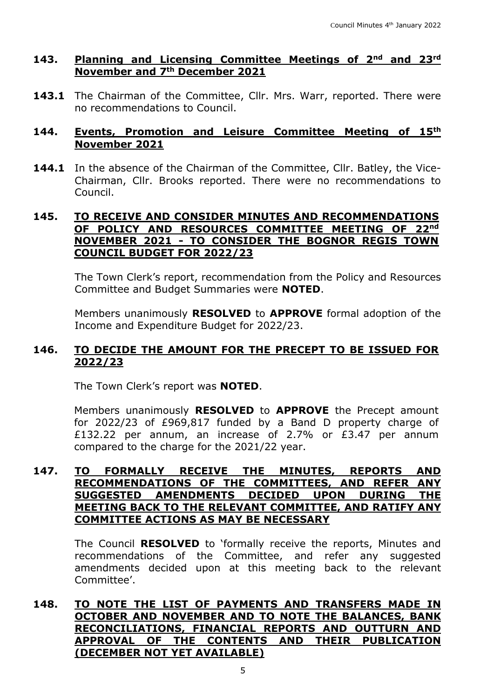# **143. Planning and Licensing Committee Meetings of 2nd and 23rd November and 7th December 2021**

143.1 The Chairman of the Committee, Cllr. Mrs. Warr, reported. There were no recommendations to Council.

#### **144. Events, Promotion and Leisure Committee Meeting of 15th November 2021**

**144.1** In the absence of the Chairman of the Committee, Cllr. Batley, the Vice-Chairman, Cllr. Brooks reported. There were no recommendations to Council.

# **145. TO RECEIVE AND CONSIDER MINUTES AND RECOMMENDATIONS OF POLICY AND RESOURCES COMMITTEE MEETING OF 22nd NOVEMBER 2021 - TO CONSIDER THE BOGNOR REGIS TOWN COUNCIL BUDGET FOR 2022/23**

The Town Clerk's report, recommendation from the Policy and Resources Committee and Budget Summaries were **NOTED**.

Members unanimously **RESOLVED** to **APPROVE** formal adoption of the Income and Expenditure Budget for 2022/23.

# **146. TO DECIDE THE AMOUNT FOR THE PRECEPT TO BE ISSUED FOR 2022/23**

The Town Clerk's report was **NOTED**.

Members unanimously **RESOLVED** to **APPROVE** the Precept amount for 2022/23 of £969,817 funded by a Band D property charge of £132.22 per annum, an increase of 2.7% or £3.47 per annum compared to the charge for the 2021/22 year.

# **147. TO FORMALLY RECEIVE THE MINUTES, REPORTS AND RECOMMENDATIONS OF THE COMMITTEES, AND REFER ANY SUGGESTED AMENDMENTS DECIDED UPON DURING THE MEETING BACK TO THE RELEVANT COMMITTEE, AND RATIFY ANY COMMITTEE ACTIONS AS MAY BE NECESSARY**

The Council **RESOLVED** to 'formally receive the reports, Minutes and recommendations of the Committee, and refer any suggested amendments decided upon at this meeting back to the relevant Committee'.

## **148. TO NOTE THE LIST OF PAYMENTS AND TRANSFERS MADE IN OCTOBER AND NOVEMBER AND TO NOTE THE BALANCES, BANK RECONCILIATIONS, FINANCIAL REPORTS AND OUTTURN AND APPROVAL OF THE CONTENTS AND THEIR PUBLICATION (DECEMBER NOT YET AVAILABLE)**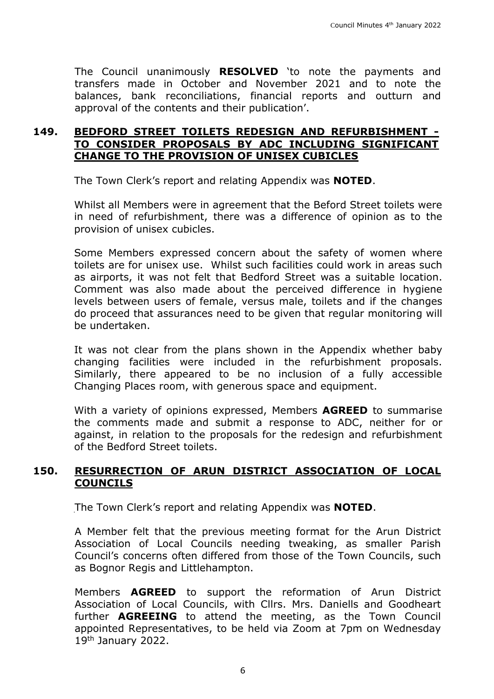The Council unanimously **RESOLVED** 'to note the payments and transfers made in October and November 2021 and to note the balances, bank reconciliations, financial reports and outturn and approval of the contents and their publication'.

# **149. BEDFORD STREET TOILETS REDESIGN AND REFURBISHMENT - TO CONSIDER PROPOSALS BY ADC INCLUDING SIGNIFICANT CHANGE TO THE PROVISION OF UNISEX CUBICLES**

The Town Clerk's report and relating Appendix was **NOTED**.

Whilst all Members were in agreement that the Beford Street toilets were in need of refurbishment, there was a difference of opinion as to the provision of unisex cubicles.

Some Members expressed concern about the safety of women where toilets are for unisex use. Whilst such facilities could work in areas such as airports, it was not felt that Bedford Street was a suitable location. Comment was also made about the perceived difference in hygiene levels between users of female, versus male, toilets and if the changes do proceed that assurances need to be given that regular monitoring will be undertaken.

It was not clear from the plans shown in the Appendix whether baby changing facilities were included in the refurbishment proposals. Similarly, there appeared to be no inclusion of a fully accessible Changing Places room, with generous space and equipment.

With a variety of opinions expressed, Members **AGREED** to summarise the comments made and submit a response to ADC, neither for or against, in relation to the proposals for the redesign and refurbishment of the Bedford Street toilets.

# **150. RESURRECTION OF ARUN DISTRICT ASSOCIATION OF LOCAL COUNCILS**

The Town Clerk's report and relating Appendix was **NOTED**.

A Member felt that the previous meeting format for the Arun District Association of Local Councils needing tweaking, as smaller Parish Council's concerns often differed from those of the Town Councils, such as Bognor Regis and Littlehampton.

Members **AGREED** to support the reformation of Arun District Association of Local Councils, with Cllrs. Mrs. Daniells and Goodheart further **AGREEING** to attend the meeting, as the Town Council appointed Representatives, to be held via Zoom at 7pm on Wednesday 19th January 2022.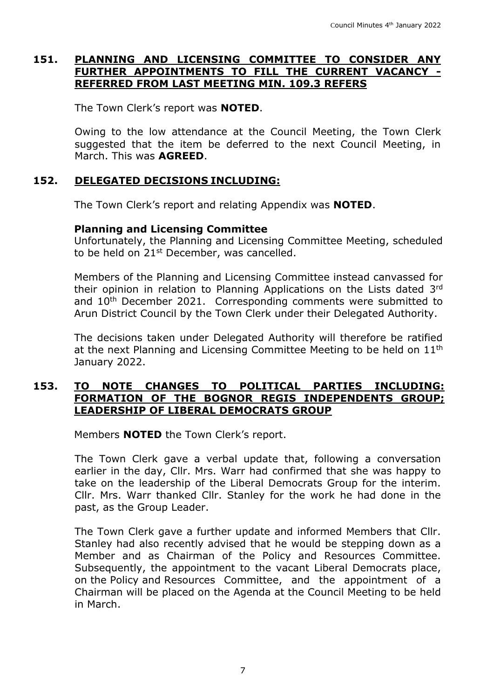## **151. PLANNING AND LICENSING COMMITTEE TO CONSIDER ANY FURTHER APPOINTMENTS TO FILL THE CURRENT VACANCY - REFERRED FROM LAST MEETING MIN. 109.3 REFERS**

The Town Clerk's report was **NOTED**.

Owing to the low attendance at the Council Meeting, the Town Clerk suggested that the item be deferred to the next Council Meeting, in March. This was **AGREED**.

# **152. DELEGATED DECISIONS INCLUDING:**

The Town Clerk's report and relating Appendix was **NOTED**.

#### **Planning and Licensing Committee**

Unfortunately, the Planning and Licensing Committee Meeting, scheduled to be held on  $21<sup>st</sup>$  December, was cancelled.

Members of the Planning and Licensing Committee instead canvassed for their opinion in relation to Planning Applications on the Lists dated 3rd and 10<sup>th</sup> December 2021. Corresponding comments were submitted to Arun District Council by the Town Clerk under their Delegated Authority.

The decisions taken under Delegated Authority will therefore be ratified at the next Planning and Licensing Committee Meeting to be held on 11<sup>th</sup> January 2022.

## **153. TO NOTE CHANGES TO POLITICAL PARTIES INCLUDING: FORMATION OF THE BOGNOR REGIS INDEPENDENTS GROUP; LEADERSHIP OF LIBERAL DEMOCRATS GROUP**

Members **NOTED** the Town Clerk's report.

The Town Clerk gave a verbal update that, following a conversation earlier in the day, Cllr. Mrs. Warr had confirmed that she was happy to take on the leadership of the Liberal Democrats Group for the interim. Cllr. Mrs. Warr thanked Cllr. Stanley for the work he had done in the past, as the Group Leader.

The Town Clerk gave a further update and informed Members that Cllr. Stanley had also recently advised that he would be stepping down as a Member and as Chairman of the Policy and Resources Committee. Subsequently, the appointment to the vacant Liberal Democrats place, on the Policy and Resources Committee, and the appointment of a Chairman will be placed on the Agenda at the Council Meeting to be held in March.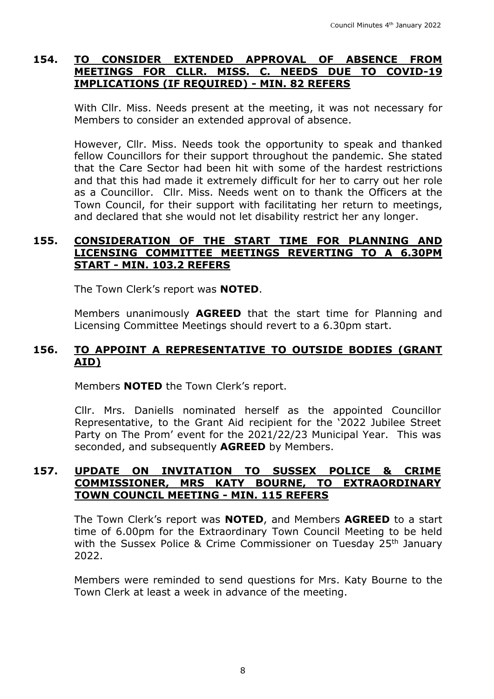## **154. TO CONSIDER EXTENDED APPROVAL OF ABSENCE FROM MEETINGS FOR CLLR. MISS. C. NEEDS DUE TO COVID-19 IMPLICATIONS (IF REQUIRED) - MIN. 82 REFERS**

With Cllr. Miss. Needs present at the meeting, it was not necessary for Members to consider an extended approval of absence.

However, Cllr. Miss. Needs took the opportunity to speak and thanked fellow Councillors for their support throughout the pandemic. She stated that the Care Sector had been hit with some of the hardest restrictions and that this had made it extremely difficult for her to carry out her role as a Councillor. Cllr. Miss. Needs went on to thank the Officers at the Town Council, for their support with facilitating her return to meetings, and declared that she would not let disability restrict her any longer.

# **155. CONSIDERATION OF THE START TIME FOR PLANNING AND LICENSING COMMITTEE MEETINGS REVERTING TO A 6.30PM START - MIN. 103.2 REFERS**

The Town Clerk's report was **NOTED**.

Members unanimously **AGREED** that the start time for Planning and Licensing Committee Meetings should revert to a 6.30pm start.

# **156. TO APPOINT A REPRESENTATIVE TO OUTSIDE BODIES (GRANT AID)**

Members **NOTED** the Town Clerk's report.

Cllr. Mrs. Daniells nominated herself as the appointed Councillor Representative, to the Grant Aid recipient for the '2022 Jubilee Street Party on The Prom' event for the 2021/22/23 Municipal Year. This was seconded, and subsequently **AGREED** by Members.

# **157. UPDATE ON INVITATION TO SUSSEX POLICE & CRIME COMMISSIONER, MRS KATY BOURNE, TO EXTRAORDINARY TOWN COUNCIL MEETING - MIN. 115 REFERS**

The Town Clerk's report was **NOTED**, and Members **AGREED** to a start time of 6.00pm for the Extraordinary Town Council Meeting to be held with the Sussex Police & Crime Commissioner on Tuesday 25<sup>th</sup> January 2022.

Members were reminded to send questions for Mrs. Katy Bourne to the Town Clerk at least a week in advance of the meeting.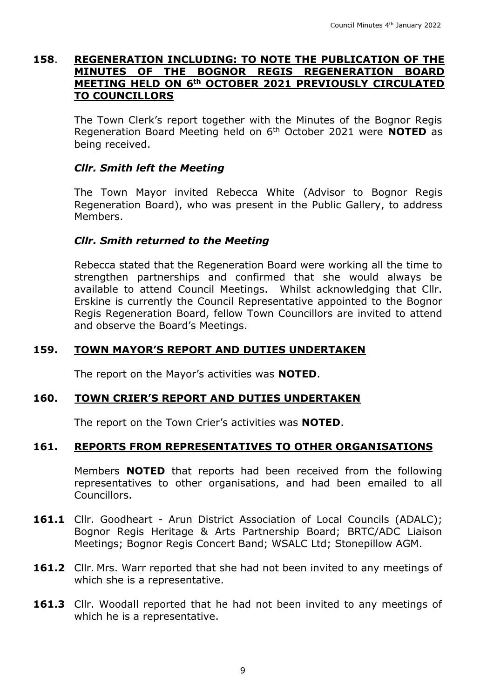#### **158**. **REGENERATION INCLUDING: TO NOTE THE PUBLICATION OF THE MINUTES OF THE BOGNOR REGIS REGENERATION BOARD MEETING HELD ON 6th OCTOBER 2021 PREVIOUSLY CIRCULATED TO COUNCILLORS**

The Town Clerk's report together with the Minutes of the Bognor Regis Regeneration Board Meeting held on 6th October 2021 were **NOTED** as being received.

# *Cllr. Smith left the Meeting*

The Town Mayor invited Rebecca White (Advisor to Bognor Regis Regeneration Board), who was present in the Public Gallery, to address Members.

# *Cllr. Smith returned to the Meeting*

Rebecca stated that the Regeneration Board were working all the time to strengthen partnerships and confirmed that she would always be available to attend Council Meetings. Whilst acknowledging that Cllr. Erskine is currently the Council Representative appointed to the Bognor Regis Regeneration Board, fellow Town Councillors are invited to attend and observe the Board's Meetings.

## **159. TOWN MAYOR'S REPORT AND DUTIES UNDERTAKEN**

The report on the Mayor's activities was **NOTED**.

# **160. TOWN CRIER'S REPORT AND DUTIES UNDERTAKEN**

The report on the Town Crier's activities was **NOTED**.

# **161. REPORTS FROM REPRESENTATIVES TO OTHER ORGANISATIONS**

Members **NOTED** that reports had been received from the following representatives to other organisations, and had been emailed to all Councillors.

- 161.1 Cllr. Goodheart Arun District Association of Local Councils (ADALC); Bognor Regis Heritage & Arts Partnership Board; BRTC/ADC Liaison Meetings; Bognor Regis Concert Band; WSALC Ltd; Stonepillow AGM.
- **161.2** Cllr. Mrs. Warr reported that she had not been invited to any meetings of which she is a representative.
- **161.3** Cllr. Woodall reported that he had not been invited to any meetings of which he is a representative.